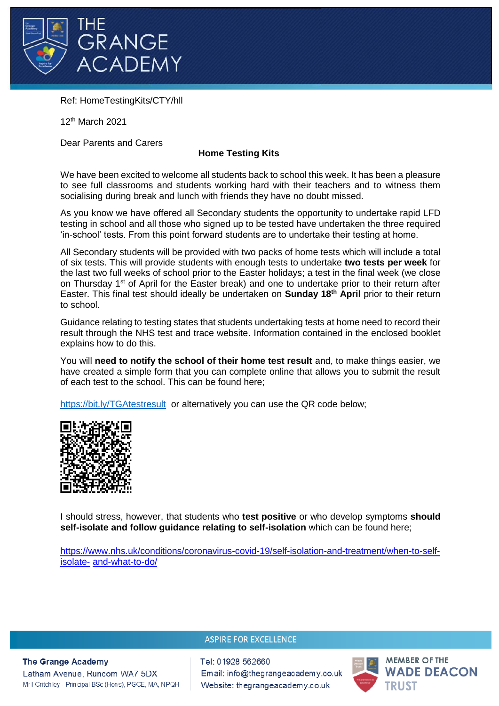

Ref: HomeTestingKits/CTY/hll

12th March 2021

Dear Parents and Carers

## **Home Testing Kits**

We have been excited to welcome all students back to school this week. It has been a pleasure to see full classrooms and students working hard with their teachers and to witness them socialising during break and lunch with friends they have no doubt missed.

As you know we have offered all Secondary students the opportunity to undertake rapid LFD testing in school and all those who signed up to be tested have undertaken the three required 'in-school' tests. From this point forward students are to undertake their testing at home.

All Secondary students will be provided with two packs of home tests which will include a total of six tests. This will provide students with enough tests to undertake **two tests per week** for the last two full weeks of school prior to the Easter holidays; a test in the final week (we close on Thursday 1<sup>st</sup> of April for the Easter break) and one to undertake prior to their return after Easter. This final test should ideally be undertaken on **Sunday 18th April** prior to their return to school.

Guidance relating to testing states that students undertaking tests at home need to record their result through the NHS test and trace website. Information contained in the enclosed booklet explains how to do this.

You will **need to notify the school of their home test result** and, to make things easier, we have created a simple form that you can complete online that allows you to submit the result of each test to the school. This can be found here;

<https://bit.ly/TGAtestresult>or alternatively you can use the QR code below;



I should stress, however, that students who **test positive** or who develop symptoms **should self-isolate and follow guidance relating to self-isolation** which can be found here;

[https://www.nhs.uk/conditions/coronavirus-covid-19/self-isolation-and-treatment/when-to-self](https://www.nhs.uk/conditions/coronavirus-covid-19/self-isolation-and-treatment/when-to-self-isolate-and-what-to-do/)isolate- [and-what-to-do/](https://www.nhs.uk/conditions/coronavirus-covid-19/self-isolation-and-treatment/when-to-self-isolate-and-what-to-do/)

## **ASPIRE FOR EXCELLENCE**

**The Grange Academy** Latham Avenue, Runcom WA7 5DX Mr I Critchley - Principal BSc (Hons), PGCE, MA, NPQH Tel: 01928 562660 Email: info@thegrangeacademy.co.uk Website: thegrangeacademy.co.uk